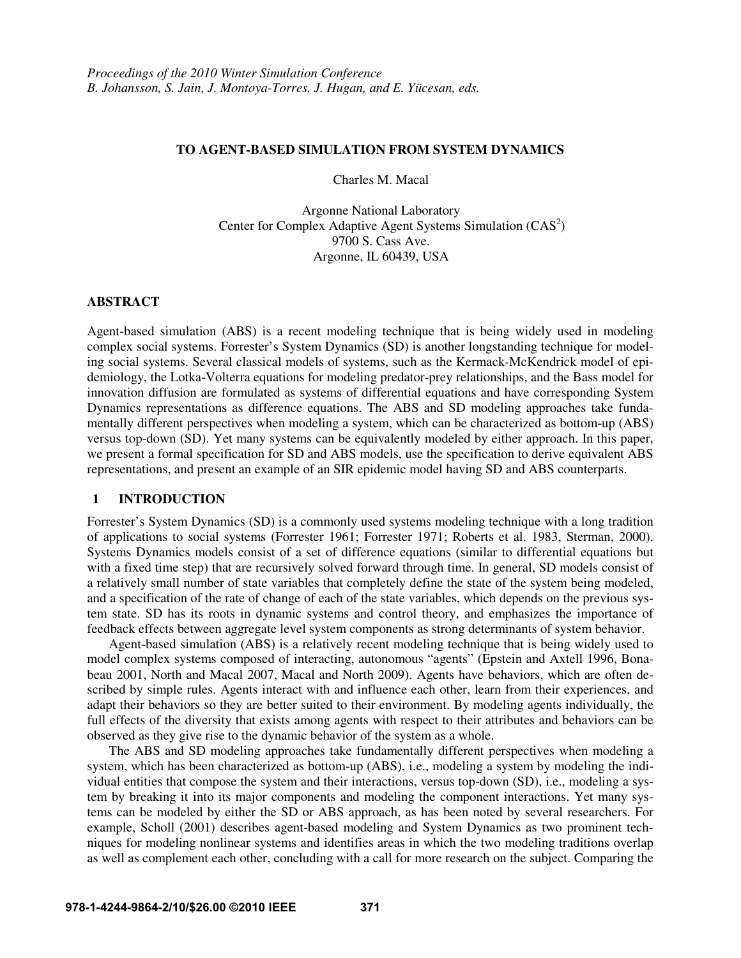### **TO AGENT-BASED SIMULATION FROM SYSTEM DYNAMICS**

Charles M. Macal

Argonne National Laboratory Center for Complex Adaptive Agent Systems Simulation  $(CAS<sup>2</sup>)$ 9700 S. Cass Ave. Argonne, IL 60439, USA

### **ABSTRACT**

Agent-based simulation (ABS) is a recent modeling technique that is being widely used in modeling complex social systems. Forrester's System Dynamics (SD) is another longstanding technique for modeling social systems. Several classical models of systems, such as the Kermack-McKendrick model of epidemiology, the Lotka-Volterra equations for modeling predator-prey relationships, and the Bass model for innovation diffusion are formulated as systems of differential equations and have corresponding System Dynamics representations as difference equations. The ABS and SD modeling approaches take fundamentally different perspectives when modeling a system, which can be characterized as bottom-up (ABS) versus top-down (SD). Yet many systems can be equivalently modeled by either approach. In this paper, we present a formal specification for SD and ABS models, use the specification to derive equivalent ABS representations, and present an example of an SIR epidemic model having SD and ABS counterparts.

# **1 INTRODUCTION**

Forrester's System Dynamics (SD) is a commonly used systems modeling technique with a long tradition of applications to social systems (Forrester 1961; Forrester 1971; Roberts et al. 1983, Sterman, 2000). Systems Dynamics models consist of a set of difference equations (similar to differential equations but with a fixed time step) that are recursively solved forward through time. In general, SD models consist of a relatively small number of state variables that completely define the state of the system being modeled, and a specification of the rate of change of each of the state variables, which depends on the previous system state. SD has its roots in dynamic systems and control theory, and emphasizes the importance of feedback effects between aggregate level system components as strong determinants of system behavior.

 Agent-based simulation (ABS) is a relatively recent modeling technique that is being widely used to model complex systems composed of interacting, autonomous "agents" (Epstein and Axtell 1996, Bonabeau 2001, North and Macal 2007, Macal and North 2009). Agents have behaviors, which are often described by simple rules. Agents interact with and influence each other, learn from their experiences, and adapt their behaviors so they are better suited to their environment. By modeling agents individually, the full effects of the diversity that exists among agents with respect to their attributes and behaviors can be observed as they give rise to the dynamic behavior of the system as a whole.

 The ABS and SD modeling approaches take fundamentally different perspectives when modeling a system, which has been characterized as bottom-up (ABS), i.e., modeling a system by modeling the individual entities that compose the system and their interactions, versus top-down (SD), i.e., modeling a system by breaking it into its major components and modeling the component interactions. Yet many systems can be modeled by either the SD or ABS approach, as has been noted by several researchers. For example, Scholl (2001) describes agent-based modeling and System Dynamics as two prominent techniques for modeling nonlinear systems and identifies areas in which the two modeling traditions overlap as well as complement each other, concluding with a call for more research on the subject. Comparing the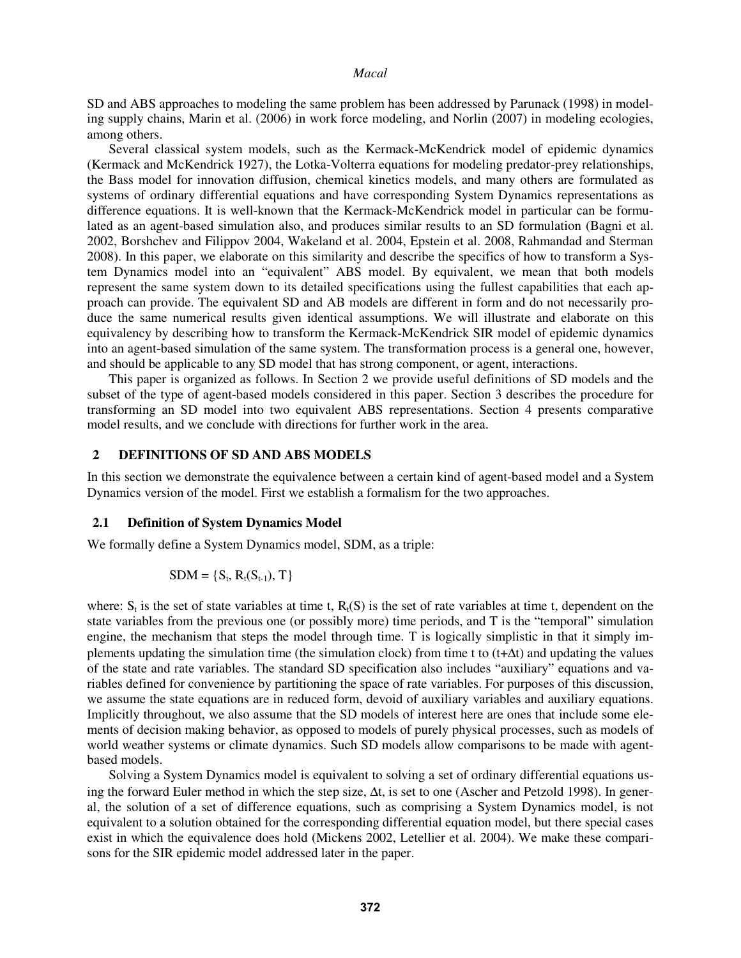SD and ABS approaches to modeling the same problem has been addressed by Parunack (1998) in modeling supply chains, Marin et al. (2006) in work force modeling, and Norlin (2007) in modeling ecologies, among others.

 Several classical system models, such as the Kermack-McKendrick model of epidemic dynamics (Kermack and McKendrick 1927), the Lotka-Volterra equations for modeling predator-prey relationships, the Bass model for innovation diffusion, chemical kinetics models, and many others are formulated as systems of ordinary differential equations and have corresponding System Dynamics representations as difference equations. It is well-known that the Kermack-McKendrick model in particular can be formulated as an agent-based simulation also, and produces similar results to an SD formulation (Bagni et al. 2002, Borshchev and Filippov 2004, Wakeland et al. 2004, Epstein et al. 2008, Rahmandad and Sterman 2008). In this paper, we elaborate on this similarity and describe the specifics of how to transform a System Dynamics model into an "equivalent" ABS model. By equivalent, we mean that both models represent the same system down to its detailed specifications using the fullest capabilities that each approach can provide. The equivalent SD and AB models are different in form and do not necessarily produce the same numerical results given identical assumptions. We will illustrate and elaborate on this equivalency by describing how to transform the Kermack-McKendrick SIR model of epidemic dynamics into an agent-based simulation of the same system. The transformation process is a general one, however, and should be applicable to any SD model that has strong component, or agent, interactions.

 This paper is organized as follows. In Section 2 we provide useful definitions of SD models and the subset of the type of agent-based models considered in this paper. Section 3 describes the procedure for transforming an SD model into two equivalent ABS representations. Section 4 presents comparative model results, and we conclude with directions for further work in the area.

# **2 DEFINITIONS OF SD AND ABS MODELS**

In this section we demonstrate the equivalence between a certain kind of agent-based model and a System Dynamics version of the model. First we establish a formalism for the two approaches.

#### **2.1 Definition of System Dynamics Model**

We formally define a System Dynamics model, SDM, as a triple:

$$
SDM = \{S_t, R_t(S_{t-1}), T\}
$$

where:  $S_t$  is the set of state variables at time t,  $R_t(S)$  is the set of rate variables at time t, dependent on the state variables from the previous one (or possibly more) time periods, and T is the "temporal" simulation engine, the mechanism that steps the model through time. T is logically simplistic in that it simply implements updating the simulation time (the simulation clock) from time t to (t+∆t) and updating the values of the state and rate variables. The standard SD specification also includes "auxiliary" equations and variables defined for convenience by partitioning the space of rate variables. For purposes of this discussion, we assume the state equations are in reduced form, devoid of auxiliary variables and auxiliary equations. Implicitly throughout, we also assume that the SD models of interest here are ones that include some elements of decision making behavior, as opposed to models of purely physical processes, such as models of world weather systems or climate dynamics. Such SD models allow comparisons to be made with agentbased models.

Solving a System Dynamics model is equivalent to solving a set of ordinary differential equations using the forward Euler method in which the step size, ∆t, is set to one (Ascher and Petzold 1998). In general, the solution of a set of difference equations, such as comprising a System Dynamics model, is not equivalent to a solution obtained for the corresponding differential equation model, but there special cases exist in which the equivalence does hold (Mickens 2002, Letellier et al. 2004). We make these comparisons for the SIR epidemic model addressed later in the paper.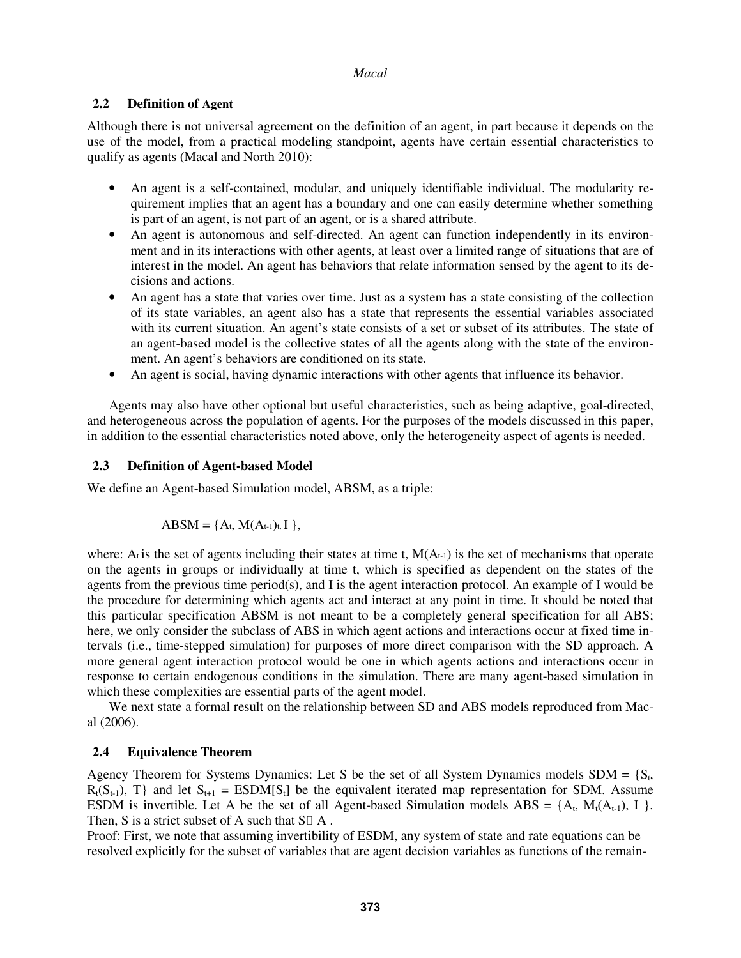### **2.2 Definition of Agent**

Although there is not universal agreement on the definition of an agent, in part because it depends on the use of the model, from a practical modeling standpoint, agents have certain essential characteristics to qualify as agents (Macal and North 2010):

- An agent is a self-contained, modular, and uniquely identifiable individual. The modularity requirement implies that an agent has a boundary and one can easily determine whether something is part of an agent, is not part of an agent, or is a shared attribute.
- An agent is autonomous and self-directed. An agent can function independently in its environment and in its interactions with other agents, at least over a limited range of situations that are of interest in the model. An agent has behaviors that relate information sensed by the agent to its decisions and actions.
- An agent has a state that varies over time. Just as a system has a state consisting of the collection of its state variables, an agent also has a state that represents the essential variables associated with its current situation. An agent's state consists of a set or subset of its attributes. The state of an agent-based model is the collective states of all the agents along with the state of the environment. An agent's behaviors are conditioned on its state.
- An agent is social, having dynamic interactions with other agents that influence its behavior.

 Agents may also have other optional but useful characteristics, such as being adaptive, goal-directed, and heterogeneous across the population of agents. For the purposes of the models discussed in this paper, in addition to the essential characteristics noted above, only the heterogeneity aspect of agents is needed.

# **2.3 Definition of Agent-based Model**

We define an Agent-based Simulation model, ABSM, as a triple:

$$
ABSM = \{A_t, M(A_{t-1})_t, I\},\
$$

where: A<sub>t</sub> is the set of agents including their states at time t,  $M(A_{t-1})$  is the set of mechanisms that operate on the agents in groups or individually at time t, which is specified as dependent on the states of the agents from the previous time period(s), and I is the agent interaction protocol. An example of I would be the procedure for determining which agents act and interact at any point in time. It should be noted that this particular specification ABSM is not meant to be a completely general specification for all ABS; here, we only consider the subclass of ABS in which agent actions and interactions occur at fixed time intervals (i.e., time-stepped simulation) for purposes of more direct comparison with the SD approach. A more general agent interaction protocol would be one in which agents actions and interactions occur in response to certain endogenous conditions in the simulation. There are many agent-based simulation in which these complexities are essential parts of the agent model.

 We next state a formal result on the relationship between SD and ABS models reproduced from Macal (2006).

# **2.4 Equivalence Theorem**

Agency Theorem for Systems Dynamics: Let S be the set of all System Dynamics models  $SDM = \{S_t,$  $R_t(S_{t-1}),$  T} and let  $S_{t+1}$  = ESDM[S<sub>t</sub>] be the equivalent iterated map representation for SDM. Assume ESDM is invertible. Let A be the set of all Agent-based Simulation models  $\text{ABS} = \{A_t, M_t(A_{t-1}), I\}$ . Then, S is a strict subset of A such that  $S \ A$ .

Proof: First, we note that assuming invertibility of ESDM, any system of state and rate equations can be resolved explicitly for the subset of variables that are agent decision variables as functions of the remain-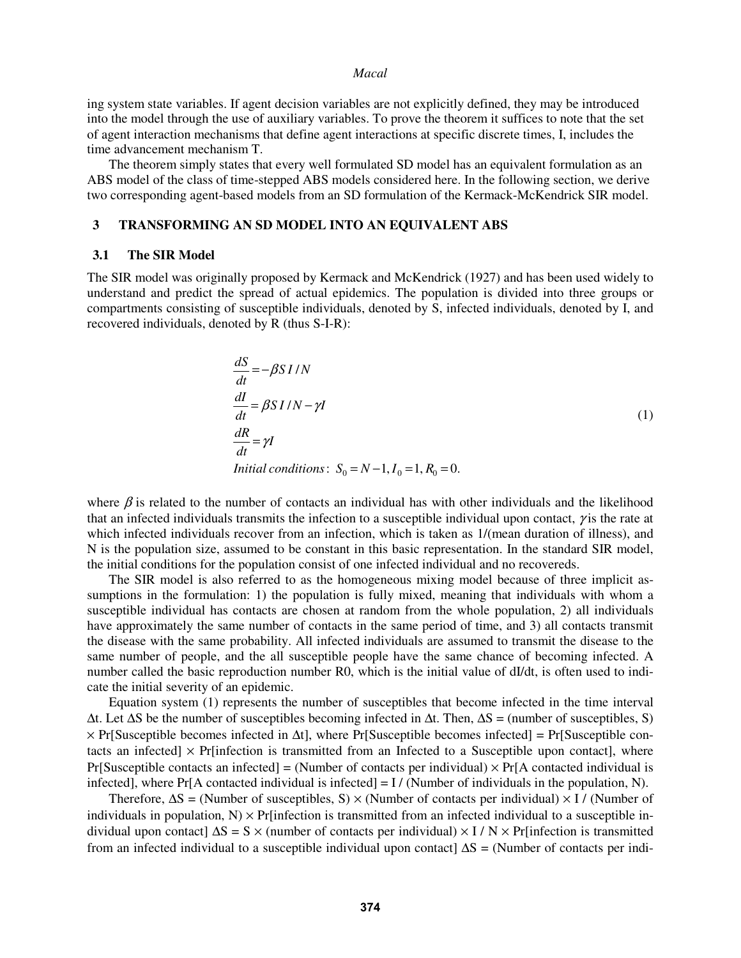ing system state variables. If agent decision variables are not explicitly defined, they may be introduced into the model through the use of auxiliary variables. To prove the theorem it suffices to note that the set of agent interaction mechanisms that define agent interactions at specific discrete times, I, includes the time advancement mechanism T.

 The theorem simply states that every well formulated SD model has an equivalent formulation as an ABS model of the class of time-stepped ABS models considered here. In the following section, we derive two corresponding agent-based models from an SD formulation of the Kermack-McKendrick SIR model.

#### **3 TRANSFORMING AN SD MODEL INTO AN EQUIVALENT ABS**

#### **3.1 The SIR Model**

The SIR model was originally proposed by Kermack and McKendrick (1927) and has been used widely to understand and predict the spread of actual epidemics. The population is divided into three groups or compartments consisting of susceptible individuals, denoted by S, infected individuals, denoted by I, and recovered individuals, denoted by R (thus S-I-R):

$$
\frac{dS}{dt} = -\beta SI/N
$$
  
\n
$$
\frac{dI}{dt} = \beta SI/N - \gamma I
$$
  
\n
$$
\frac{dR}{dt} = \gamma I
$$
  
\nInitial conditions:  $S_0 = N - 1, I_0 = 1, R_0 = 0$ .

where  $\beta$  is related to the number of contacts an individual has with other individuals and the likelihood that an infected individuals transmits the infection to a susceptible individual upon contact,  $\gamma$  is the rate at which infected individuals recover from an infection, which is taken as  $1/($ mean duration of illness), and N is the population size, assumed to be constant in this basic representation. In the standard SIR model, the initial conditions for the population consist of one infected individual and no recovereds.

 The SIR model is also referred to as the homogeneous mixing model because of three implicit assumptions in the formulation: 1) the population is fully mixed, meaning that individuals with whom a susceptible individual has contacts are chosen at random from the whole population, 2) all individuals have approximately the same number of contacts in the same period of time, and 3) all contacts transmit the disease with the same probability. All infected individuals are assumed to transmit the disease to the same number of people, and the all susceptible people have the same chance of becoming infected. A number called the basic reproduction number R0, which is the initial value of dI/dt, is often used to indicate the initial severity of an epidemic.

 Equation system (1) represents the number of susceptibles that become infected in the time interval ∆t. Let ∆S be the number of susceptibles becoming infected in ∆t. Then, ∆S = (number of susceptibles, S) × Pr[Susceptible becomes infected in ∆t], where Pr[Susceptible becomes infected] = Pr[Susceptible contacts an infected]  $\times$  Pr[infection is transmitted from an Infected to a Susceptible upon contact], where Pr[Susceptible contacts an infected] = (Number of contacts per individual)  $\times$  Pr[A contacted individual is infected], where  $Pr[A$  contacted individual is infected] = I / (Number of individuals in the population, N).

Therefore,  $\Delta S$  = (Number of susceptibles, S) × (Number of contacts per individual) × I / (Number of individuals in population,  $N$ )  $\times$  Pr[infection is transmitted from an infected individual to a susceptible individual upon contact]  $\Delta S = S \times$  (number of contacts per individual)  $\times$  I / N  $\times$  Pr[infection is transmitted from an infected individual to a susceptible individual upon contact]  $\Delta S = (Number of contacts per indi-1)$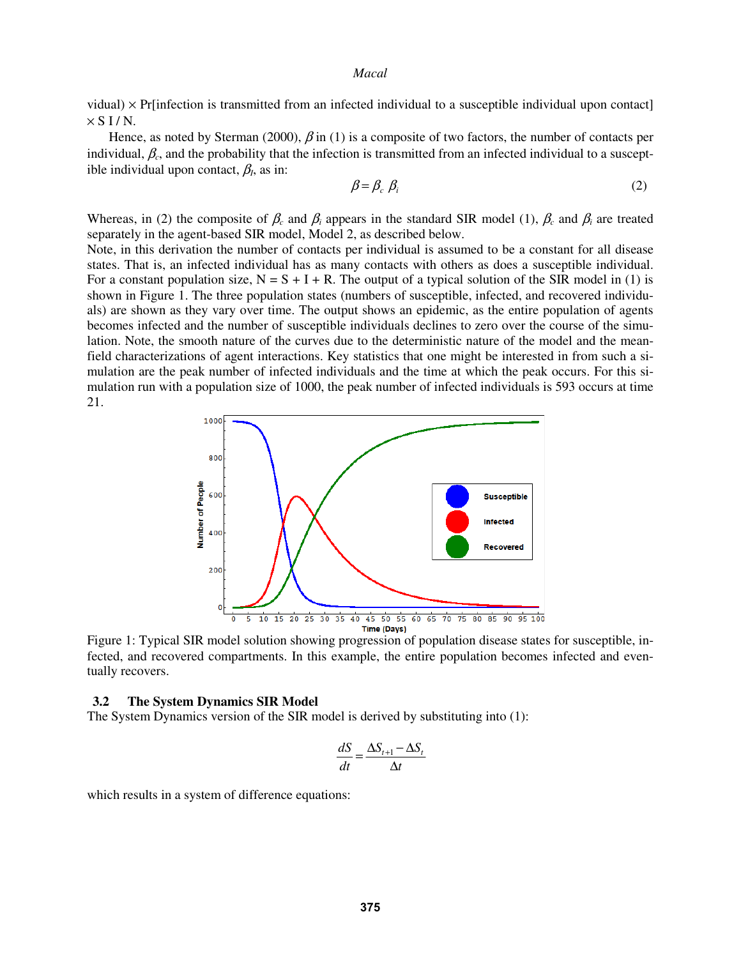vidual) × Pr[infection is transmitted from an infected individual to a susceptible individual upon contact]  $\times$  S I / N.

Hence, as noted by Sterman (2000),  $\beta$  in (1) is a composite of two factors, the number of contacts per individual,  $\beta_c$ , and the probability that the infection is transmitted from an infected individual to a susceptible individual upon contact,  $\beta_l$ , as in:

$$
\beta = \beta_c \beta_i \tag{2}
$$

Whereas, in (2) the composite of  $\beta_c$  and  $\beta_i$  appears in the standard SIR model (1),  $\beta_c$  and  $\beta_i$  are treated separately in the agent-based SIR model, Model 2, as described below.

Note, in this derivation the number of contacts per individual is assumed to be a constant for all disease states. That is, an infected individual has as many contacts with others as does a susceptible individual. For a constant population size,  $N = S + I + R$ . The output of a typical solution of the SIR model in (1) is shown in Figure 1. The three population states (numbers of susceptible, infected, and recovered individuals) are shown as they vary over time. The output shows an epidemic, as the entire population of agents becomes infected and the number of susceptible individuals declines to zero over the course of the simulation. Note, the smooth nature of the curves due to the deterministic nature of the model and the meanfield characterizations of agent interactions. Key statistics that one might be interested in from such a simulation are the peak number of infected individuals and the time at which the peak occurs. For this simulation run with a population size of 1000, the peak number of infected individuals is 593 occurs at time 21.



Figure 1: Typical SIR model solution showing progression of population disease states for susceptible, infected, and recovered compartments. In this example, the entire population becomes infected and eventually recovers.

### **3.2 The System Dynamics SIR Model**

The System Dynamics version of the SIR model is derived by substituting into (1):

$$
\frac{dS}{dt} = \frac{\Delta S_{t+1} - \Delta S_t}{\Delta t}
$$

which results in a system of difference equations: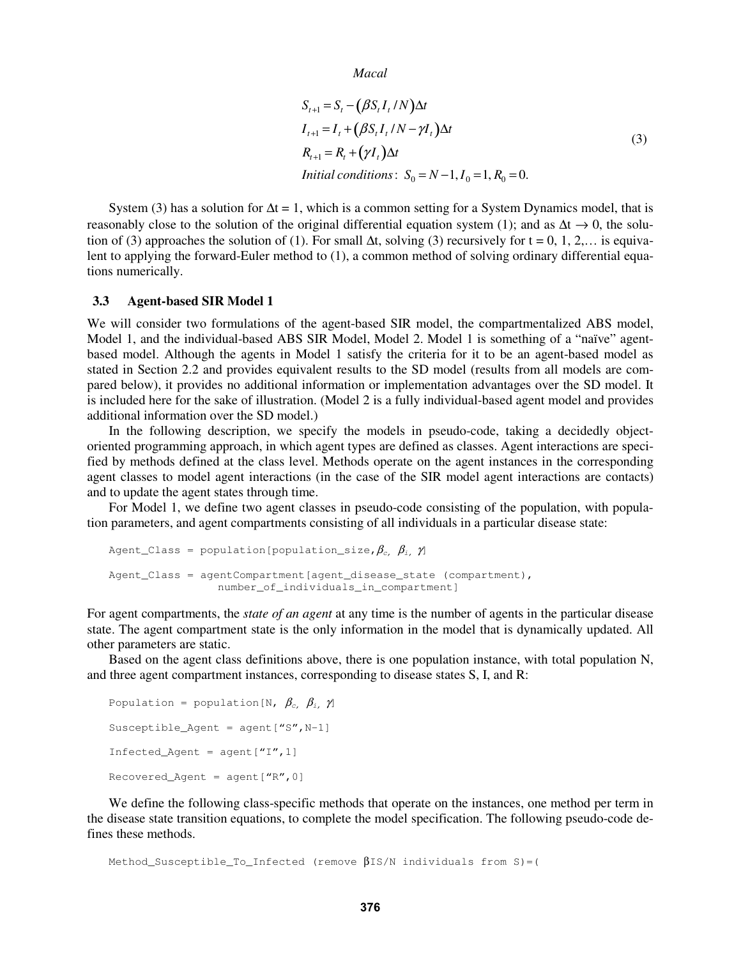```
Macal
```

$$
S_{t+1} = S_t - (\beta S_t I_t / N) \Delta t
$$
  
\n
$$
I_{t+1} = I_t + (\beta S_t I_t / N - \gamma I_t) \Delta t
$$
  
\n
$$
R_{t+1} = R_t + (\gamma I_t) \Delta t
$$
  
\nInitial conditions:  $S_0 = N - 1, I_0 = 1, R_0 = 0$ . (3)

System (3) has a solution for  $\Delta t = 1$ , which is a common setting for a System Dynamics model, that is reasonably close to the solution of the original differential equation system (1); and as  $\Delta t \rightarrow 0$ , the solution of (3) approaches the solution of (1). For small  $\Delta t$ , solving (3) recursively for t = 0, 1, 2,... is equivalent to applying the forward-Euler method to (1), a common method of solving ordinary differential equations numerically.

### **3.3 Agent-based SIR Model 1**

We will consider two formulations of the agent-based SIR model, the compartmentalized ABS model, Model 1, and the individual-based ABS SIR Model, Model 2. Model 1 is something of a "naïve" agentbased model. Although the agents in Model 1 satisfy the criteria for it to be an agent-based model as stated in Section 2.2 and provides equivalent results to the SD model (results from all models are compared below), it provides no additional information or implementation advantages over the SD model. It is included here for the sake of illustration. (Model 2 is a fully individual-based agent model and provides additional information over the SD model.)

 In the following description, we specify the models in pseudo-code, taking a decidedly objectoriented programming approach, in which agent types are defined as classes. Agent interactions are specified by methods defined at the class level. Methods operate on the agent instances in the corresponding agent classes to model agent interactions (in the case of the SIR model agent interactions are contacts) and to update the agent states through time.

 For Model 1, we define two agent classes in pseudo-code consisting of the population, with population parameters, and agent compartments consisting of all individuals in a particular disease state:

```
Agent_Class = population[population_size, \beta_c, \beta_i, \gamma]
Agent Class = agentCompartment [agent disease state (compartment),
                    number_of_individuals_in_compartment]
```
For agent compartments, the *state of an agent* at any time is the number of agents in the particular disease state. The agent compartment state is the only information in the model that is dynamically updated. All other parameters are static.

 Based on the agent class definitions above, there is one population instance, with total population N, and three agent compartment instances, corresponding to disease states S, I, and R:

```
Population = population[N, \beta_c, \beta_i, \gamma]
Susceptible Agent = agent ['S'', N-1]Infected_Agent = agent['I'', 1]Recovered_Agent = agent[''R'', 0]
```
 We define the following class-specific methods that operate on the instances, one method per term in the disease state transition equations, to complete the model specification. The following pseudo-code defines these methods.

```
Method Susceptible To Infected (remove \betaIS/N individuals from S)=(
```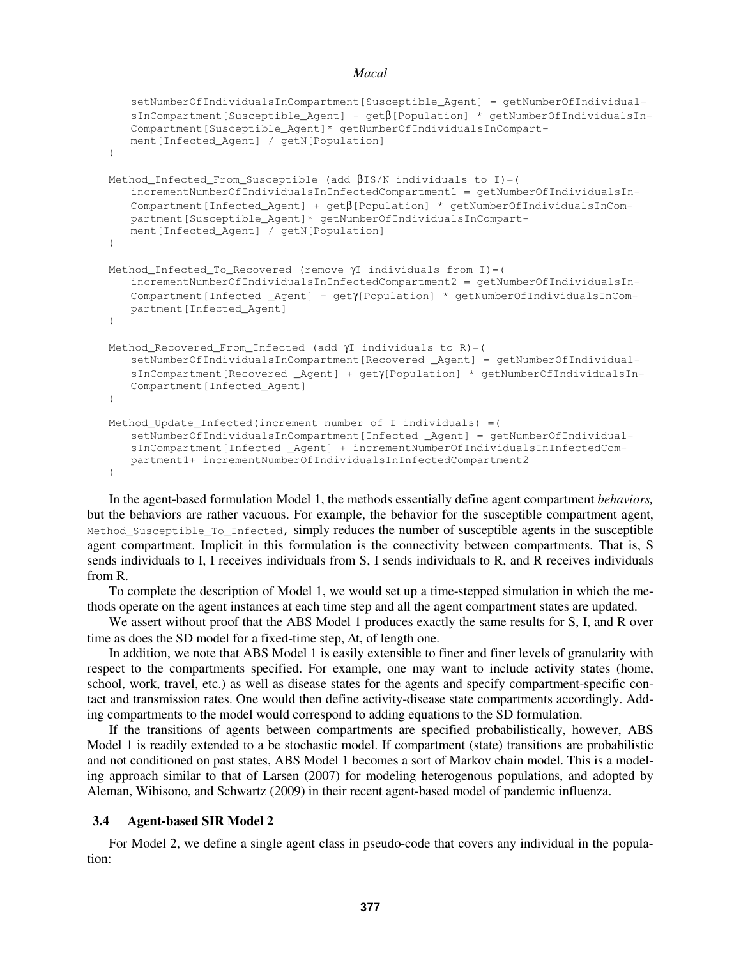```
 setNumberOfIndividualsInCompartment[Susceptible_Agent] = getNumberOfIndividual-
   sInCompartment[Susceptible_Agent] - getβ[Population] * getNumberOfIndividualsIn-
   Compartment[Susceptible_Agent]* getNumberOfIndividualsInCompart-
   ment[Infected_Agent] / getN[Population] 
\lambdaMethod_Infected_From_Susceptible (add \betaIS/N individuals to I)=(
    incrementNumberOfIndividualsInInfectedCompartment1 = getNumberOfIndividualsIn-
   Compartment[Infected_Agent] + getβ[Population] * getNumberOfIndividualsInCom-
   partment[Susceptible_Agent]* getNumberOfIndividualsInCompart-
   ment[Infected_Agent] / getN[Population] 
) 
Method_Infected_To_Recovered (remove γI individuals from I)=( 
    incrementNumberOfIndividualsInInfectedCompartment2 = getNumberOfIndividualsIn-
   Compartment[Infected _Agent] – getγ[Population] * getNumberOfIndividualsInCom-
   partment[Infected_Agent] 
\lambdaMethod_Recovered_From_Infected (add γI individuals to R)=( 
    setNumberOfIndividualsInCompartment[Recovered _Agent] = getNumberOfIndividual-
   sInCompartment[Recovered _Agent] + getγ[Population] * getNumberOfIndividualsIn-
   Compartment[Infected_Agent] 
) 
Method_Update_Infected(increment number of I individuals) =( 
    setNumberOfIndividualsInCompartment[Infected _Agent] = getNumberOfIndividual-
   sInCompartment[Infected _Agent] + incrementNumberOfIndividualsInInfectedCom-
   partment1+ incrementNumberOfIndividualsInInfectedCompartment2 
\lambda
```
 In the agent-based formulation Model 1, the methods essentially define agent compartment *behaviors,* but the behaviors are rather vacuous. For example, the behavior for the susceptible compartment agent, Method\_Susceptible\_To\_Infected, simply reduces the number of susceptible agents in the susceptible agent compartment. Implicit in this formulation is the connectivity between compartments. That is, S sends individuals to I, I receives individuals from S, I sends individuals to R, and R receives individuals from R.

 To complete the description of Model 1, we would set up a time-stepped simulation in which the methods operate on the agent instances at each time step and all the agent compartment states are updated.

We assert without proof that the ABS Model 1 produces exactly the same results for S, I, and R over time as does the SD model for a fixed-time step, ∆t, of length one.

 In addition, we note that ABS Model 1 is easily extensible to finer and finer levels of granularity with respect to the compartments specified. For example, one may want to include activity states (home, school, work, travel, etc.) as well as disease states for the agents and specify compartment-specific contact and transmission rates. One would then define activity-disease state compartments accordingly. Adding compartments to the model would correspond to adding equations to the SD formulation.

 If the transitions of agents between compartments are specified probabilistically, however, ABS Model 1 is readily extended to a be stochastic model. If compartment (state) transitions are probabilistic and not conditioned on past states, ABS Model 1 becomes a sort of Markov chain model. This is a modeling approach similar to that of Larsen (2007) for modeling heterogenous populations, and adopted by Aleman, Wibisono, and Schwartz (2009) in their recent agent-based model of pandemic influenza.

## **3.4 Agent-based SIR Model 2**

 For Model 2, we define a single agent class in pseudo-code that covers any individual in the population: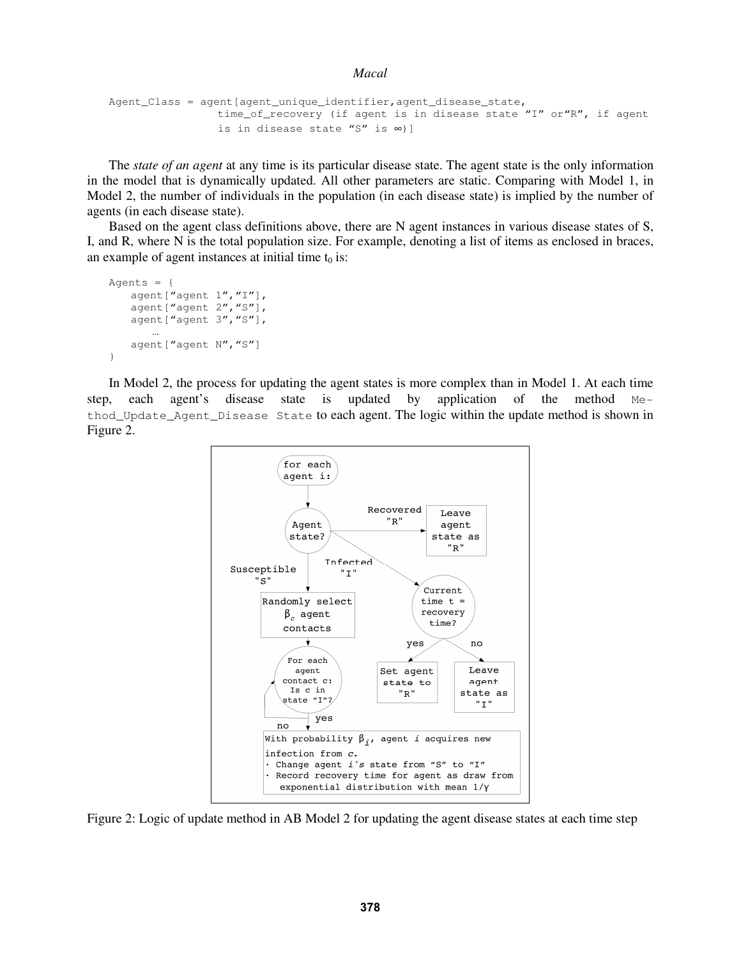```
Macal
```

```
Agent_Class = agent [agent_unique_identifier, agent_disease_state,
                  time_of_recovery (if agent is in disease state "I" or"R", if agent 
                  is in disease state "S" is ∞)]
```
 The *state of an agent* at any time is its particular disease state. The agent state is the only information in the model that is dynamically updated. All other parameters are static. Comparing with Model 1, in Model 2, the number of individuals in the population (in each disease state) is implied by the number of agents (in each disease state).

 Based on the agent class definitions above, there are N agent instances in various disease states of S, I, and R, where N is the total population size. For example, denoting a list of items as enclosed in braces, an example of agent instances at initial time  $t_0$  is:

```
Agents = { 
   agent ["agent 1", "I"],
   agent ["agent 2", "S"],
    agent["agent 3","S"], 
 … 
   agent ["agent N", "S"]
}
```
 In Model 2, the process for updating the agent states is more complex than in Model 1. At each time step, each agent's disease state is updated by application of the method Method Update Agent Disease State to each agent. The logic within the update method is shown in Figure 2.



Figure 2: Logic of update method in AB Model 2 for updating the agent disease states at each time step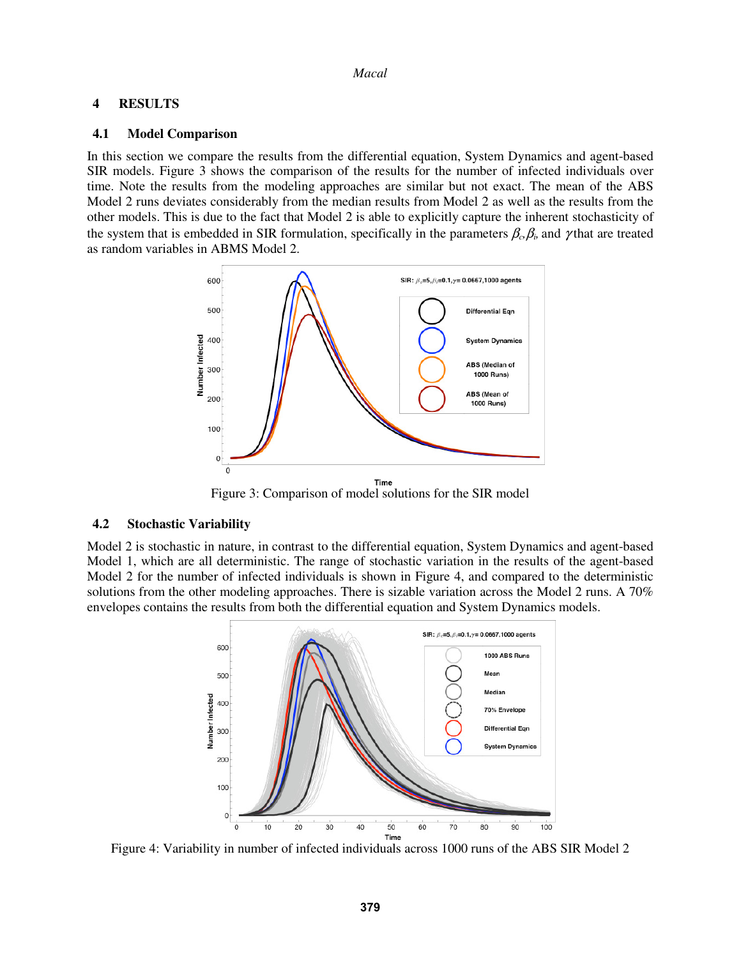### **4 RESULTS**

#### **4.1 Model Comparison**

In this section we compare the results from the differential equation, System Dynamics and agent-based SIR models. Figure 3 shows the comparison of the results for the number of infected individuals over time. Note the results from the modeling approaches are similar but not exact. The mean of the ABS Model 2 runs deviates considerably from the median results from Model 2 as well as the results from the other models. This is due to the fact that Model 2 is able to explicitly capture the inherent stochasticity of the system that is embedded in SIR formulation, specifically in the parameters  $\beta_{\alpha} \beta_{\beta}$  and  $\gamma$  that are treated as random variables in ABMS Model 2.



Figure 3: Comparison of model solutions for the SIR model

### **4.2 Stochastic Variability**

Model 2 is stochastic in nature, in contrast to the differential equation, System Dynamics and agent-based Model 1, which are all deterministic. The range of stochastic variation in the results of the agent-based Model 2 for the number of infected individuals is shown in Figure 4, and compared to the deterministic solutions from the other modeling approaches. There is sizable variation across the Model 2 runs. A 70% envelopes contains the results from both the differential equation and System Dynamics models.



Figure 4: Variability in number of infected individuals across 1000 runs of the ABS SIR Model 2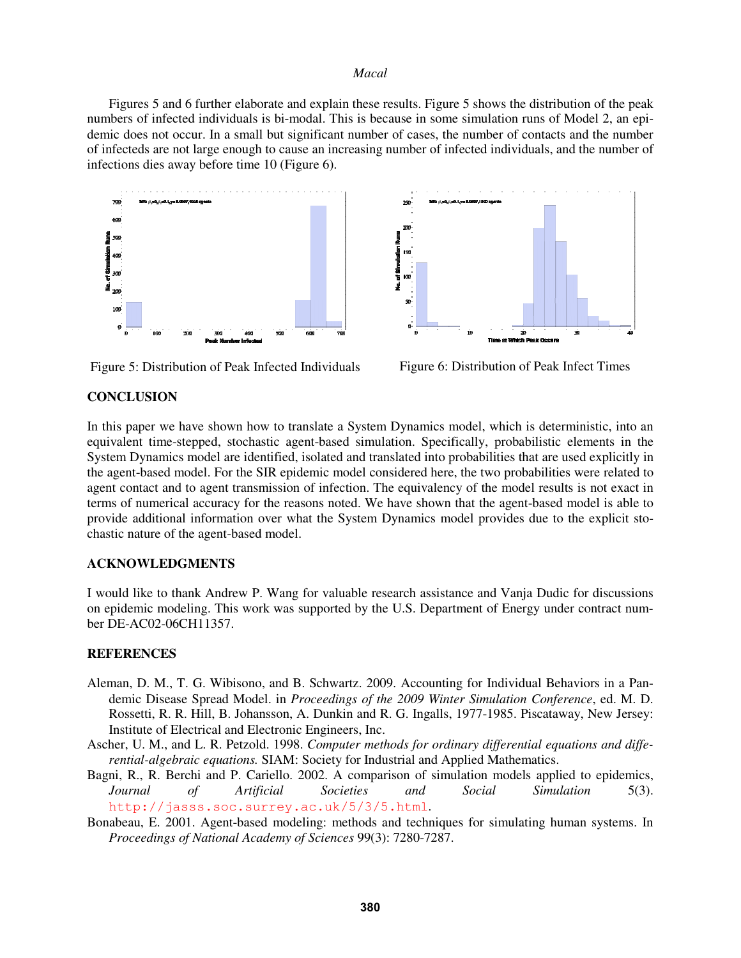Figures 5 and 6 further elaborate and explain these results. Figure 5 shows the distribution of the peak numbers of infected individuals is bi-modal. This is because in some simulation runs of Model 2, an epidemic does not occur. In a small but significant number of cases, the number of contacts and the number of infecteds are not large enough to cause an increasing number of infected individuals, and the number of infections dies away before time 10 (Figure 6).



Figure 5: Distribution of Peak Infected Individuals Figure 6: Distribution of Peak Infect Times



## **CONCLUSION**

In this paper we have shown how to translate a System Dynamics model, which is deterministic, into an equivalent time-stepped, stochastic agent-based simulation. Specifically, probabilistic elements in the System Dynamics model are identified, isolated and translated into probabilities that are used explicitly in the agent-based model. For the SIR epidemic model considered here, the two probabilities were related to agent contact and to agent transmission of infection. The equivalency of the model results is not exact in terms of numerical accuracy for the reasons noted. We have shown that the agent-based model is able to provide additional information over what the System Dynamics model provides due to the explicit stochastic nature of the agent-based model.

# **ACKNOWLEDGMENTS**

I would like to thank Andrew P. Wang for valuable research assistance and Vanja Dudic for discussions on epidemic modeling. This work was supported by the U.S. Department of Energy under contract number DE-AC02-06CH11357.

### **REFERENCES**

- Aleman, D. M., T. G. Wibisono, and B. Schwartz. 2009. Accounting for Individual Behaviors in a Pandemic Disease Spread Model. in *Proceedings of the 2009 Winter Simulation Conference*, ed. M. D. Rossetti, R. R. Hill, B. Johansson, A. Dunkin and R. G. Ingalls, 1977-1985. Piscataway, New Jersey: Institute of Electrical and Electronic Engineers, Inc.
- Ascher, U. M., and L. R. Petzold. 1998. *Computer methods for ordinary differential equations and differential-algebraic equations.* SIAM: Society for Industrial and Applied Mathematics.
- Bagni, R., R. Berchi and P. Cariello. 2002. A comparison of simulation models applied to epidemics, *Journal of Artificial Societies and Social Simulation* 5(3). http://jasss.soc.surrey.ac.uk/5/3/5.html.
- Bonabeau, E. 2001. Agent-based modeling: methods and techniques for simulating human systems. In *Proceedings of National Academy of Sciences* 99(3): 7280-7287.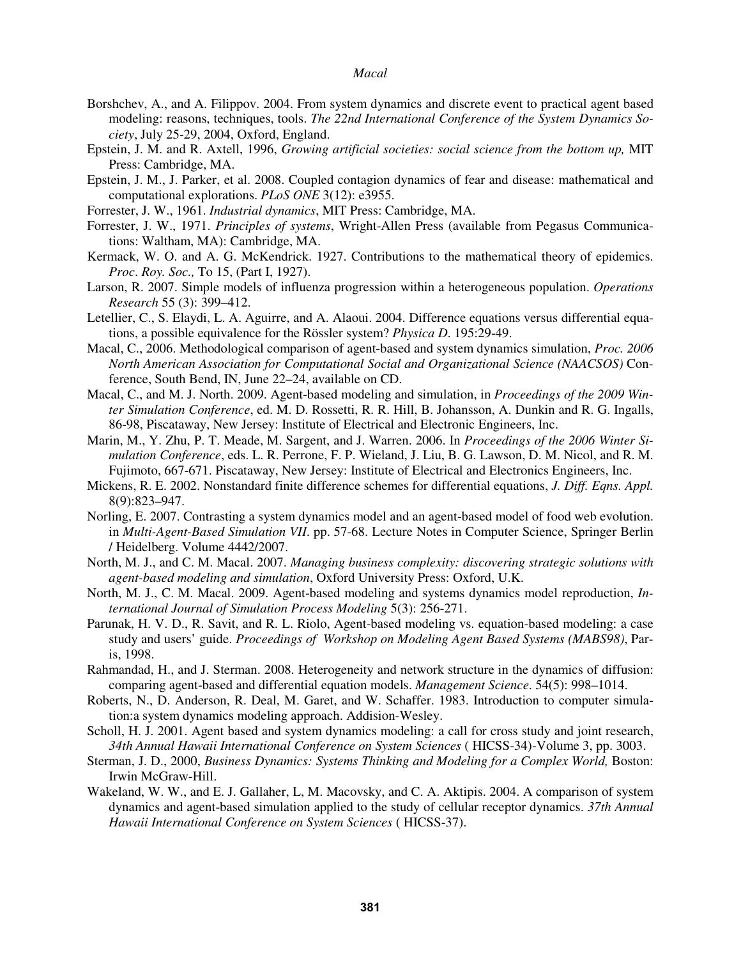- Borshchev, A., and A. Filippov. 2004. From system dynamics and discrete event to practical agent based modeling: reasons, techniques, tools. *The 22nd International Conference of the System Dynamics Society*, July 25-29, 2004, Oxford, England.
- Epstein, J. M. and R. Axtell, 1996, *Growing artificial societies: social science from the bottom up,* MIT Press: Cambridge, MA.
- Epstein, J. M., J. Parker, et al. 2008. Coupled contagion dynamics of fear and disease: mathematical and computational explorations. *PLoS ONE* 3(12): e3955.
- Forrester, J. W., 1961. *Industrial dynamics*, MIT Press: Cambridge, MA.
- Forrester, J. W., 1971. *Principles of systems*, Wright-Allen Press (available from Pegasus Communications: Waltham, MA): Cambridge, MA.
- Kermack, W. O. and A. G. McKendrick. 1927. Contributions to the mathematical theory of epidemics. *Proc*. *Roy. Soc.,* To 15, (Part I, 1927).
- Larson, R. 2007. Simple models of influenza progression within a heterogeneous population. *Operations Research* 55 (3): 399–412.
- Letellier, C., S. Elaydi, L. A. Aguirre, and A. Alaoui. 2004. Difference equations versus differential equations, a possible equivalence for the Rössler system? *Physica D*. 195:29-49.
- Macal, C., 2006. Methodological comparison of agent-based and system dynamics simulation, *Proc. 2006 North American Association for Computational Social and Organizational Science (NAACSOS)* Conference, South Bend, IN, June 22–24, available on CD.
- Macal, C., and M. J. North. 2009. Agent-based modeling and simulation, in *Proceedings of the 2009 Winter Simulation Conference*, ed. M. D. Rossetti, R. R. Hill, B. Johansson, A. Dunkin and R. G. Ingalls, 86-98, Piscataway, New Jersey: Institute of Electrical and Electronic Engineers, Inc.
- Marin, M., Y. Zhu, P. T. Meade, M. Sargent, and J. Warren. 2006. In *Proceedings of the 2006 Winter Simulation Conference*, eds. L. R. Perrone, F. P. Wieland, J. Liu, B. G. Lawson, D. M. Nicol, and R. M. Fujimoto, 667-671. Piscataway, New Jersey: Institute of Electrical and Electronics Engineers, Inc.
- Mickens, R. E. 2002. Nonstandard finite difference schemes for differential equations, *J. Diff. Eqns. Appl.* 8(9):823–947.
- Norling, E. 2007. Contrasting a system dynamics model and an agent-based model of food web evolution. in *Multi-Agent-Based Simulation VII*. pp. 57-68. Lecture Notes in Computer Science, Springer Berlin / Heidelberg. Volume 4442/2007.
- North, M. J., and C. M. Macal. 2007. *Managing business complexity: discovering strategic solutions with agent-based modeling and simulation*, Oxford University Press: Oxford, U.K.
- North, M. J., C. M. Macal. 2009. Agent-based modeling and systems dynamics model reproduction, *International Journal of Simulation Process Modeling* 5(3): 256-271.
- Parunak, H. V. D., R. Savit, and R. L. Riolo, Agent-based modeling vs. equation-based modeling: a case study and users' guide. *Proceedings of Workshop on Modeling Agent Based Systems (MABS98)*, Paris, 1998.
- Rahmandad, H., and J. Sterman. 2008. Heterogeneity and network structure in the dynamics of diffusion: comparing agent-based and differential equation models. *Management Science*. 54(5): 998–1014.
- Roberts, N., D. Anderson, R. Deal, M. Garet, and W. Schaffer. 1983. Introduction to computer simulation:a system dynamics modeling approach. Addision-Wesley.
- Scholl, H. J. 2001. Agent based and system dynamics modeling: a call for cross study and joint research, *34th Annual Hawaii International Conference on System Sciences* ( HICSS-34)-Volume 3, pp. 3003.
- Sterman, J. D., 2000, *Business Dynamics: Systems Thinking and Modeling for a Complex World,* Boston: Irwin McGraw-Hill.
- Wakeland, W. W., and E. J. Gallaher, L, M. Macovsky, and C. A. Aktipis. 2004. A comparison of system dynamics and agent-based simulation applied to the study of cellular receptor dynamics. *37th Annual Hawaii International Conference on System Sciences* ( HICSS-37).